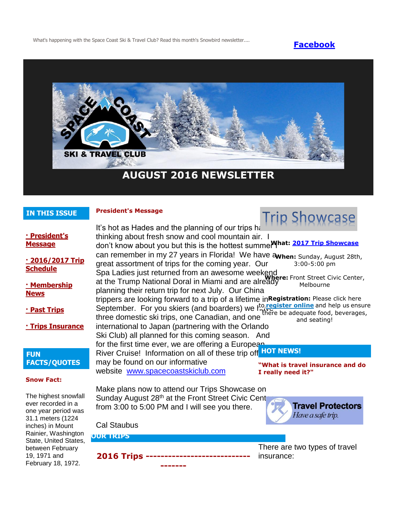What's happening with the Space Coast Ski & Travel Club? Read this month's Snowbird newsletter.... **[Facebook](https://www.facebook.com/pages/Space-Coast-Ski-Club/137991863341)** 



# **AUGUST 2016 NEWSLETTER**

#### **IN THIS ISSUE**

#### **President's Message**



**[· President's](http://spacecoastskiclub.com/Admin/Settings/Emails/EmailContentProvider.aspx?emailId=47807006#anchor1)  [Message](http://spacecoastskiclub.com/Admin/Settings/Emails/EmailContentProvider.aspx?emailId=47807006#anchor1)**

**[· 2016/2017 Trip](http://spacecoastskiclub.com/Admin/Settings/Emails/EmailContentProvider.aspx?emailId=47807006#anchor2)  [Schedule](http://spacecoastskiclub.com/Admin/Settings/Emails/EmailContentProvider.aspx?emailId=47807006#anchor2)** 

#### **[· Membership](http://spacecoastskiclub.com/Admin/Settings/Emails/EmailContentProvider.aspx?emailId=47807006#anchor3)  [News](http://spacecoastskiclub.com/Admin/Settings/Emails/EmailContentProvider.aspx?emailId=47807006#anchor3)**

**[· Past Trips](http://spacecoastskiclub.com/Admin/Settings/Emails/EmailContentProvider.aspx?emailId=47807006#anchor4)**

**[· Trips Insurance](http://spacecoastskiclub.com/Admin/Settings/Emails/EmailContentProvider.aspx?emailId=47807006#anchor3)**

#### **FUN FACTS/QUOTES**

#### **Snow Fact:**

The highest snowfall ever recorded in a one year period was 31.1 meters (1224 inches) in Mount Rainier, Washington State, United States, between February 19, 1971 and February 18, 1972.

It's hot as Hades and the planning of our trips has thinking about fresh snow and cool mountain air. I don't know about you but this is the hottest summer I **What: [2017 Trip Showcase](http://spacecoastskiclub.com/event-2270336)** can remember in my 27 years in Florida! We have awhen: Sunday, August 28th, great assortment of trips for the coming year. Our Spa Ladies just returned from an awesome weekend **Where:** Front Street Civic Center, at the Trump National Doral in Miami and are already planning their return trip for next July. Our China trippers are looking forward to a trip of a lifetime in **Registration:** Please click here September. For you skiers (and boarders) we kulted three domestic ski trips, one Canadian, and one international to Japan (partnering with the Orlando Ski Club) all planned for this coming season. And for the first time ever, we are offering a European River Cruise! Information on all of these trip of **HOT NEWS!** may be found on our informative website [www.spacecoastskiclub.com](http://spacecoastskiclub.com/) Make plans now to attend our Trips Showcase on Sunday August 28<sup>th</sup> at the Front Street Civic Cent 3:00-5:00 pm Melbourne to **[register online](http://spacecoastskiclub.com/event-2270336/Registration)** and help us ensure there be adequate food, beverages, and seating! **"What is travel insurance and do I really need it?"**

from 3:00 to 5:00 PM and I will see you there.

**2016 Trips ---------------------------- -------**



Cal Staubus

**OUR TRIPS**

There are two types of travel insurance: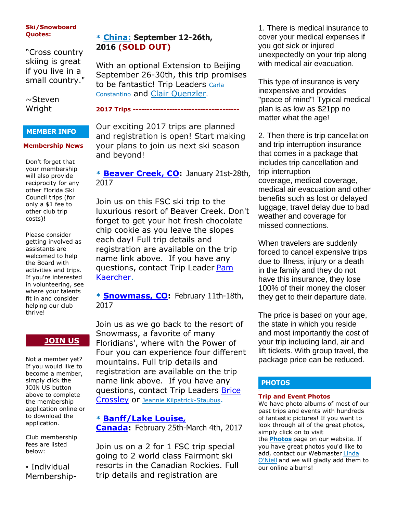#### **Ski/Snowboard Quotes:**

"Cross country skiing is great if you live in a small country."

 $\sim$ Steven Wright

#### **MEMBER INFO**

#### **Membership News**

Don't forget that your membership will also provide reciprocity for any other Florida Ski Council trips (for only a \$1 fee to other club trip costs)!

Please consider getting involved as assistants are welcomed to help the Board with activities and trips. If you're interested in volunteering, see where your talents fit in and consider helping our club thrive!

# **[JOIN US](http://spacecoastskiclub.com/Join)**

Not a member yet? If you would like to become a member, simply click the JOIN US button above to complete the membership application online or to download the application.

Club membership fees are listed below:

**·** Individual Membership-

## **\* [China:](http://spacecoastskiclub.com/event-2024853) September 12-26th, 2016 (SOLD OUT)**

With an optional Extension to Beijing September 26-30th, this trip promises to be fantastic! Trip Leaders Carla [Constantino](mailto:Carla@SpaceCoastSkiClub.com) and [Clair Quenzler](mailto:clairqski@aol.com).

**2017 Trips --------------------------------------**

Our exciting 2017 trips are planned and registration is open! Start making your plans to join us next ski season and beyond!

**\* [Beaver Creek, CO:](http://spacecoastskiclub.com/event-2241834)** January 21st-28th, 2017

Join us on this FSC ski trip to the luxurious resort of Beaver Creek. Don't forget to get your hot fresh chocolate chip cookie as you leave the slopes each day! Full trip details and registration are available on the trip name link above. If you have any questions, contact Trip Leader [Pam](mailto:Pam@spacecoastskiclub.com)  [Kaercher.](mailto:Pam@spacecoastskiclub.com)

**\* [Snowmass, CO:](http://spacecoastskiclub.com/event-2278222)** February 11th-18th, 2017

Join us as we go back to the resort of Snowmass, a favorite of many Floridians', where with the Power of Four you can experience four different mountains. Full trip details and registration are available on the trip name link above. If you have any questions, contact Trip Leaders [Brice](mailto:Brice@spacecoastskiclub.com)  [Crossley](mailto:Brice@spacecoastskiclub.com) or [Jeannie Kilpatrick-Staubus](mailto:Jeannie@spacecoastskiclub.com).

#### **\* [Banff/Lake Louise,](http://spacecoastskiclub.com/event-2257100)**

**[Canada:](http://spacecoastskiclub.com/event-2257100)** February 25th-March 4th, 2017

Join us on a 2 for 1 FSC trip special going to 2 world class Fairmont ski resorts in the Canadian Rockies. Full trip details and registration are

1. There is medical insurance to cover your medical expenses if you got sick or injured unexpectedly on your trip along with medical air evacuation.

This type of insurance is very inexpensive and provides "peace of mind"! Typical medical plan is as low as \$21pp no matter what the age!

2. Then there is trip cancellation and trip interruption insurance that comes in a package that includes trip cancellation and trip interruption coverage, medical coverage, medical air evacuation and other benefits such as lost or delayed luggage, travel delay due to bad weather and coverage for missed connections.

When travelers are suddenly forced to cancel expensive trips due to illness, injury or a death in the family and they do not have this insurance, they lose 100% of their money the closer they get to their departure date.

The price is based on your age, the state in which you reside and most importantly the cost of your trip including land, air and lift tickets. With group travel, the package price can be reduced.

### **PHOTOS**

#### **Trip and Event Photos**

We have photo albums of most of our past trips and events with hundreds of fantastic pictures! If you want to look through all of the great photos, simply click on to visit

the **[Photos](http://spacecoastskiclub.com/Default.aspx?pageId=1628252)** page on our website. If you have great photos you'd like to add, contact our Webmaster Linda [O'Niell](mailto:lrod2127@gmail.com) and we will gladly add them to our online albums!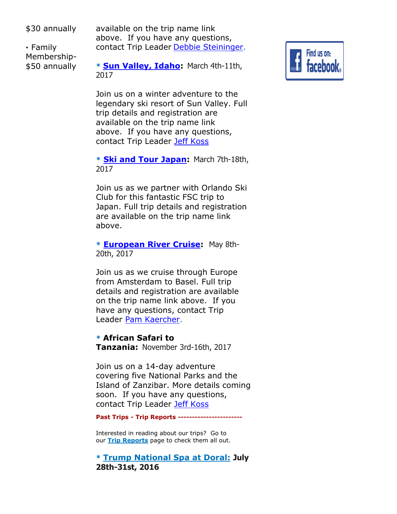\$30 annually

**·** Family Membership- \$50 annually available on the trip name link above. If you have any questions, contact Trip Leader [Debbie Steininger.](mailto:dsteininger@cfl.rr.com)

**\* [Sun Valley, Idaho:](http://spacecoastskiclub.com/event-2280066)** March 4th-11th, 2017

Join us on a winter adventure to the legendary ski resort of Sun Valley. Full trip details and registration are available on the trip name link above. If you have any questions, contact Trip Leader [Jeff Koss](mailto:kaoshome@earthlink.net)

**\* [Ski and Tour Japan:](http://spacecoastskiclub.com/event-2298339)** March 7th-18th, 2017

Join us as we partner with Orlando Ski Club for this fantastic FSC trip to Japan. Full trip details and registration are available on the trip name link above.

**\* [European River Cruise:](http://spacecoastskiclub.com/event-2229276)** May 8th-20th, 2017

Join us as we cruise through Europe from Amsterdam to Basel. Full trip details and registration are available on the trip name link above. If you have any questions, contact Trip Leader [Pam Kaercher.](mailto:Pam@spacecoastskiclub.com)

**\* African Safari to Tanzania:** November 3rd-16th, 2017

Join us on a 14-day adventure covering five National Parks and the Island of Zanzibar. More details coming soon. If you have any questions, contact Trip Leader [Jeff Koss](mailto:kaoshome@earthlink.net)

**Past Trips - Trip Reports -----------------------**

Interested in reading about our trips? Go to our **[Trip Reports](http://spacecoastskiclub.com/PastTrips)** page to check them all out.

**\* [Trump National Spa at Doral](http://spacecoastskiclub.com/page-1854082): July 28th-31st, 2016**